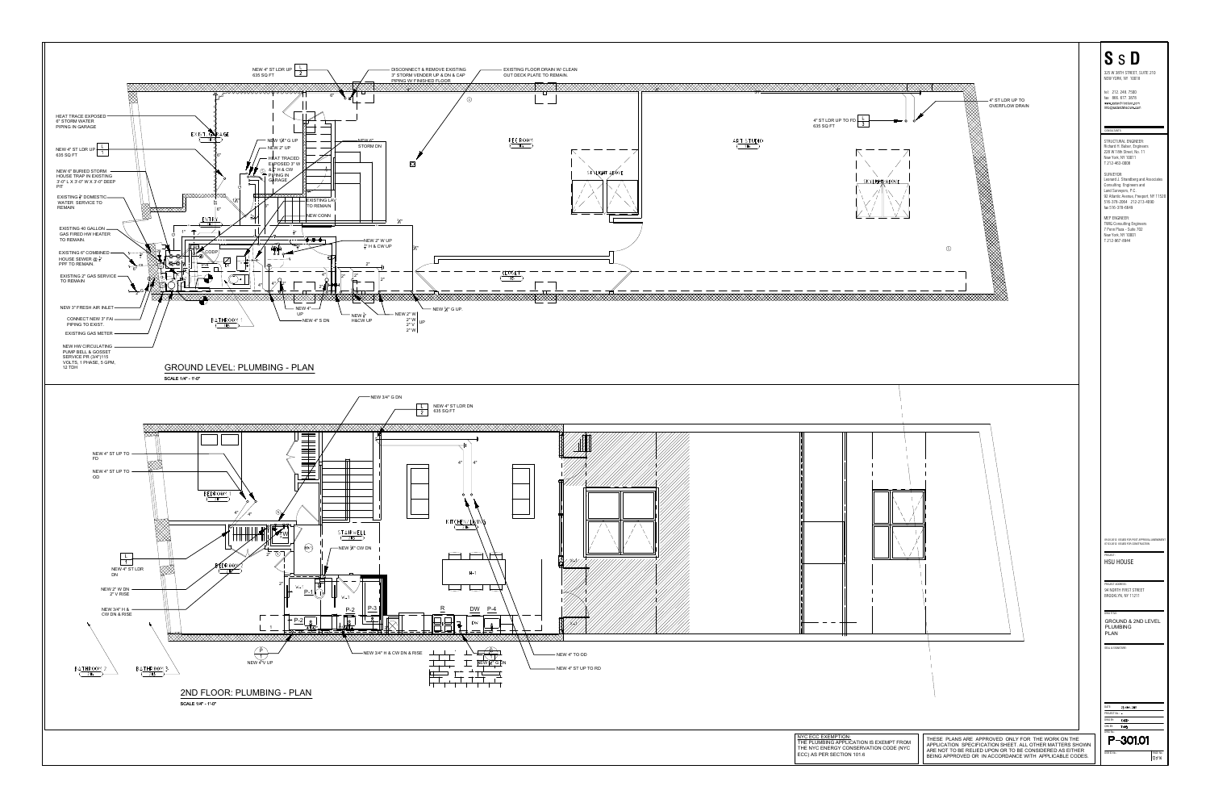

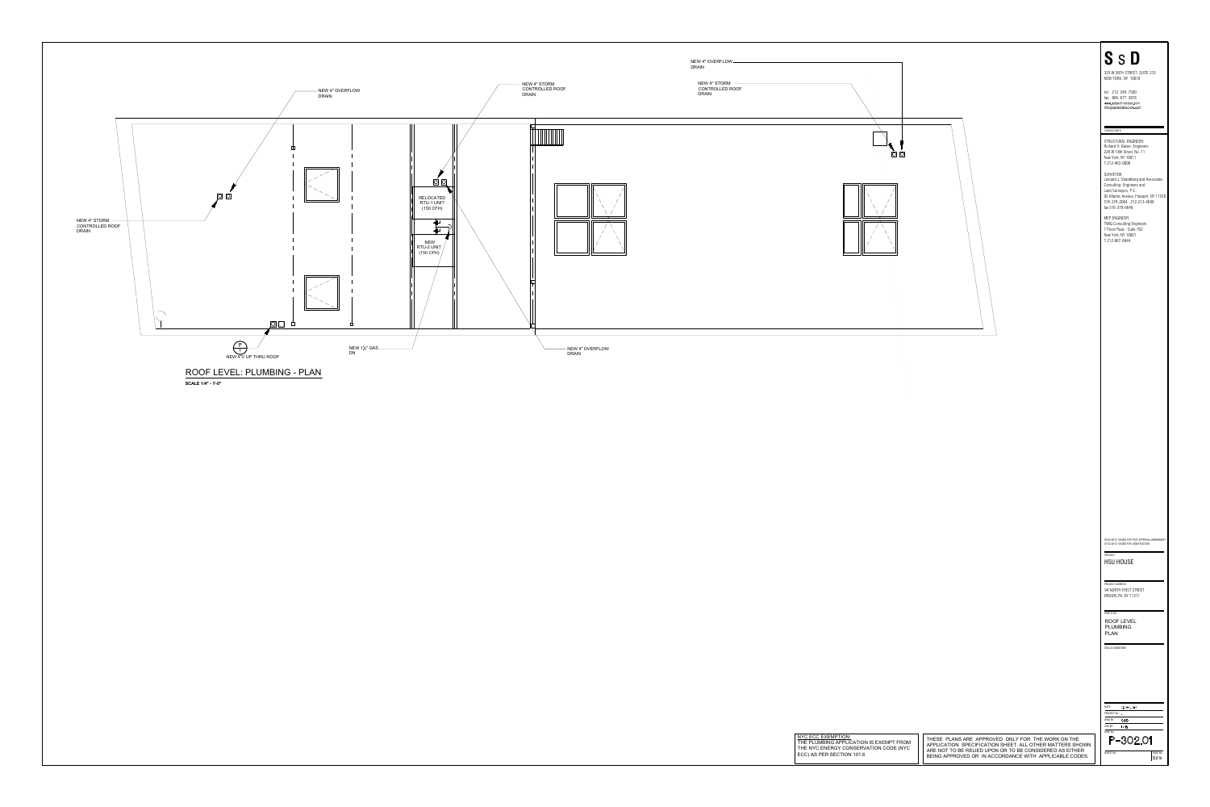

| $\sim$<br>$\circ$ $\circ$<br>$\sim$<br><b>College</b><br>$\sim 10^{-1}$<br>$\sim 10^{-11}$                                          |                                                                                                                                                                                                                                    | <b>SSD</b><br>325 W 38TH STREET, SUITE 210<br>NEW YORK, NY 10018<br>tel: 212.248.7500<br>fax: 866.677.3878<br>www.ssdarchitecture.com<br>info@ssdarchitecture.com<br>CONSULTANTS:<br>STRUCTURAL ENGINEER:<br>Richard H. Balser, Engineers<br>228 W 18th Street, No. 11<br>New York, NY 10011<br>T 212-463-0008<br>SURVEYOR:<br>Leonard J. Strandberg and Associates<br>Consulting Engineers and<br>Land Surveyors, P.C.<br>92 Atlantic Avenue, Freeport, NY 11520<br>516-378-2064 212-213-4090<br>fax 516-378-6649<br>MEP ENGINEER:<br><b>TWIG Consulting Engineers</b><br>7 Penn Plaza - Suite 702<br>New York, NY 10001<br>T 212-967-8944 |
|-------------------------------------------------------------------------------------------------------------------------------------|------------------------------------------------------------------------------------------------------------------------------------------------------------------------------------------------------------------------------------|---------------------------------------------------------------------------------------------------------------------------------------------------------------------------------------------------------------------------------------------------------------------------------------------------------------------------------------------------------------------------------------------------------------------------------------------------------------------------------------------------------------------------------------------------------------------------------------------------------------------------------------------|
| <b>Contract</b><br><b>College</b><br>$\sim 10^{-1}$<br><b>Contract</b><br><b>Contractor</b><br>$\sim 10^{11}$ km $^{-1}$            |                                                                                                                                                                                                                                    |                                                                                                                                                                                                                                                                                                                                                                                                                                                                                                                                                                                                                                             |
|                                                                                                                                     |                                                                                                                                                                                                                                    | 09.20.2012 ISSUED FOR POST APPROVAL AMENDMENT<br>07.03.2012 ISSUED FOR CONSTRUCTION<br>PROJECT:<br><b>HSU HOUSE</b><br>PROJECT ADDRESS:<br>94 NORTH FIRST STREET<br>BROOKLYN, NY 11211<br>DWG TITLE:<br><b>ROOF LEVEL</b><br><b>PLUMBING</b><br><b>PLAN</b><br>SEAL & SIGNATURE:                                                                                                                                                                                                                                                                                                                                                            |
| NYC ECC EXEMPTION:<br>THE PLUMBING APPLICATION IS EXEMPT FROM<br>THE NYC ENERGY CONSERVATION CODE (NYC<br>ECC) AS PER SECTION 101.6 | THESE PLANS ARE APPROVED ONLY FOR THE WORK ON THE<br>APPLICATION SPECIFICATION SHEET. ALL OTHER MATTERS SHOWN<br>ARE NOT TO BE RELIED UPON OR TO BE CONSIDERED AS EITHER<br>BEING APPROVED OR IN ACCORDANCE WITH APPLICABLE CODES. | DATE:<br>23 NOV. 2011<br>PROJECT No.: -<br>DWG BY:<br>CADD<br>CHK BY:<br>TWIG<br>DWG No.:<br>P-302.01<br>PAGE No.:<br>DOB ID No.:<br>13 of 14                                                                                                                                                                                                                                                                                                                                                                                                                                                                                               |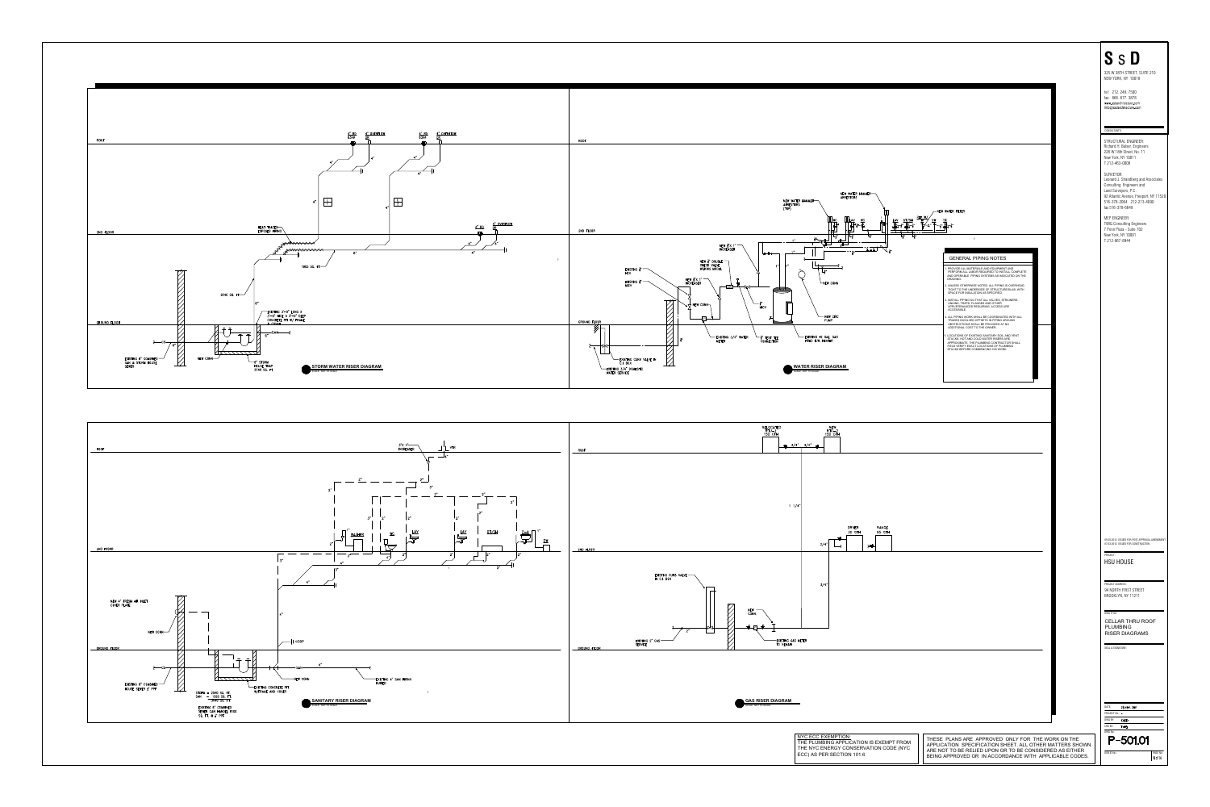



| NEW WATER HAMMER-<br>ARRESTORS<br>R HAMMER<br>S<br>REF W<br>$wc$<br>BT/SH<br><u>WC</u><br>Lŗ,<br>$\rightarrow$<br>$\bar{\mathbf{z}}$ ,<br>$\geq$<br>ہ جا<br><b>⊢NEW CONN</b><br>NEW CIRC<br><b>PUMP</b><br>-EXISTING 40 GAL. GAS<br>FIRED H.W. HEATER<br><b>ATER RISER DIAGRAM</b><br>LE: NOT TO SCALE | -NEW WATER FILTER<br>$\mathbf{1}$<br><b>GENERAL PIPING NOTES</b><br>1. PROVIDE ALL MATERIALS AND EQUIPMENT AND<br>PERFORM ALL LABOR REQUIRED TO INSTALL COMPLETE<br>AND OPERABLE PIPING SYSTEMS AS INDICATED ON THE<br>DRAWING.<br>2. UNLESS OTHERWISE NOTED, ALL PIPING IS OVERHEAD,<br>TIGHT TO THE UNDERSIDE OF STRUCTURE/SLAB, WITH<br>SPACE FOR INSULATION AS SPECIFIED.<br>3. INSTALL PIPING SO THAT ALL VALVES, STRAINERS,<br>UNIONS, TRAPS, FLANGES AND OTHER<br>APPURTENANCES REQUIRING ACCESS ARE<br>ACCESSIBLE.<br>4. ALL PIPING WORK SHALL BE COORDINATED WITH ALL<br>TRADES INVOLVED OFFSETS IN PIPING AROUND<br>OBSTRUCTIONS SHALL BE PROVIDED AT NO<br>ADDITIONAL COST TO THE OWNER.<br>5. LOCATIONS OF EXISTING SANITARY SOIL AND VENT<br>STACKS, HOT AND COLD WATER RISERS ARE<br>APPROXIMATE. THE PLUMBING CONTRACTOR SHALL<br>FIELD VERIFY EXACT LOCATIONS OF PLUMBING<br>STACKS BEFORE COMMENCING HIS WORK. | <b>SSD</b><br>325 W 38TH STREET, SUITE 210<br>NEW YORK, NY 10018<br>tel: 212.248.7500<br>fax: 866.677.3878<br>www.ssdarchitecture.com<br>info@ssdarchitecture.com<br>CONSULTANTS:<br>STRUCTURAL ENGINEER:<br>Richard H. Balser, Engineers<br>228 W 18th Street, No. 11<br>New York, NY 10011<br>T 212-463-0008<br>SURVEYOR:<br>Leonard J. Strandberg and Associates<br>Consulting Engineers and<br>Land Surveyors, P.C.<br>92 Atlantic Avenue, Freeport, NY 11520<br>516-378-2064 212-213-4090<br>fax 516-378-6649<br>MEP ENGINEER:<br><b>TWIG Consulting Engineers</b><br>7 Penn Plaza - Suite 702<br>New York, NY 10001<br>T 212-967-8944 |
|--------------------------------------------------------------------------------------------------------------------------------------------------------------------------------------------------------------------------------------------------------------------------------------------------------|---------------------------------------------------------------------------------------------------------------------------------------------------------------------------------------------------------------------------------------------------------------------------------------------------------------------------------------------------------------------------------------------------------------------------------------------------------------------------------------------------------------------------------------------------------------------------------------------------------------------------------------------------------------------------------------------------------------------------------------------------------------------------------------------------------------------------------------------------------------------------------------------------------------------------------|---------------------------------------------------------------------------------------------------------------------------------------------------------------------------------------------------------------------------------------------------------------------------------------------------------------------------------------------------------------------------------------------------------------------------------------------------------------------------------------------------------------------------------------------------------------------------------------------------------------------------------------------|
| <b>NEW</b><br>$RTU-2$<br>150 CFH<br>3/4"<br>DRYER<br>RANGE<br>30 CFH<br>65 CFH<br>3/4<br>$\overline{z}$<br>3/4"<br>METER                                                                                                                                                                               |                                                                                                                                                                                                                                                                                                                                                                                                                                                                                                                                                                                                                                                                                                                                                                                                                                                                                                                                 | 09.20.2012 ISSUED FOR POST APPROVAL AMENDMENT<br>07.03.2012 ISSUED FOR CONSTRUCTION<br>PROJECT:<br><b>HSU HOUSE</b><br>PROJECT ADDRESS:<br>94 NORTH FIRST STREET<br>BROOKLYN, NY 11211<br>DWG TITLE:<br><b>CELLAR THRU ROOF</b><br><b>PLUMBING</b><br><b>RISER DIAGRAMS</b><br>SEAL & SIGNATURE:<br>DATE:<br>23 NOV. 2011<br>PROJECT No.: -<br>DWG BY:<br>CADD<br>CHK BY:<br>TWIG<br>DWG No.:                                                                                                                                                                                                                                               |
| NYC ECC EXEMPTION:<br>THE PLUMBING APPLICATION IS EXEMPT FROM<br>THE NYC ENERGY CONSERVATION CODE (NYC<br>ECC) AS PER SECTION 101.6                                                                                                                                                                    | THESE PLANS ARE APPROVED ONLY FOR THE WORK ON THE<br>APPLICATION SPECIFICATION SHEET. ALL OTHER MATTERS SHOWN<br>ARE NOT TO BE RELIED UPON OR TO BE CONSIDERED AS EITHER<br>BEING APPROVED OR IN ACCORDANCE WITH APPLICABLE CODES.                                                                                                                                                                                                                                                                                                                                                                                                                                                                                                                                                                                                                                                                                              | P-501.01<br>PAGE No.:<br>DOB ID No.:<br>14 of 14                                                                                                                                                                                                                                                                                                                                                                                                                                                                                                                                                                                            |